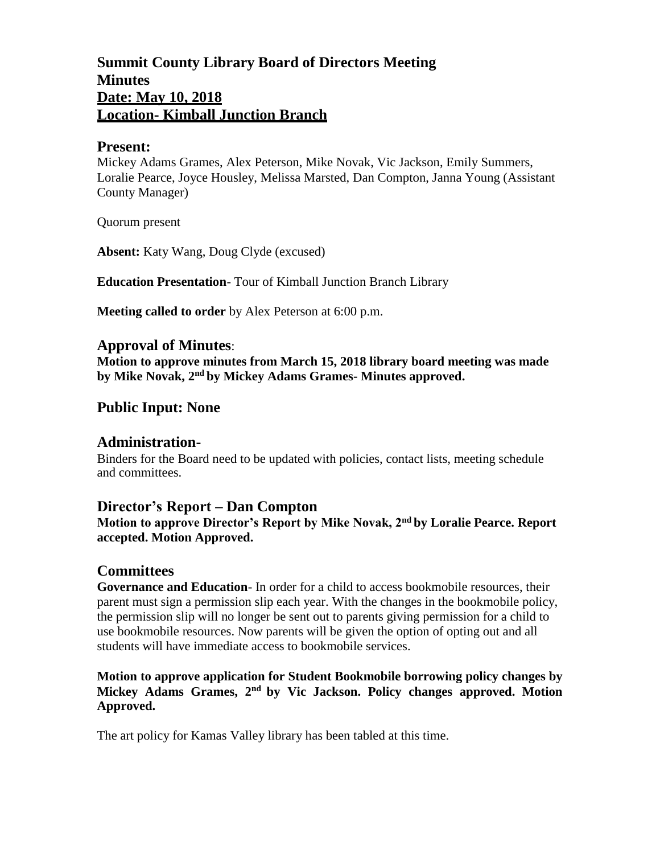# **Summit County Library Board of Directors Meeting Minutes Date: May 10, 2018 Location- Kimball Junction Branch**

## **Present:**

Mickey Adams Grames, Alex Peterson, Mike Novak, Vic Jackson, Emily Summers, Loralie Pearce, Joyce Housley, Melissa Marsted, Dan Compton, Janna Young (Assistant County Manager)

Quorum present

**Absent:** Katy Wang, Doug Clyde (excused)

**Education Presentation**- Tour of Kimball Junction Branch Library

**Meeting called to order** by Alex Peterson at 6:00 p.m.

## **Approval of Minutes**:

**Motion to approve minutes from March 15, 2018 library board meeting was made by Mike Novak, 2nd by Mickey Adams Grames- Minutes approved.**

# **Public Input: None**

## **Administration-**

Binders for the Board need to be updated with policies, contact lists, meeting schedule and committees.

## **Director's Report – Dan Compton**

**Motion to approve Director's Report by Mike Novak, 2nd by Loralie Pearce. Report accepted. Motion Approved.**

## **Committees**

**Governance and Education**- In order for a child to access bookmobile resources, their parent must sign a permission slip each year. With the changes in the bookmobile policy, the permission slip will no longer be sent out to parents giving permission for a child to use bookmobile resources. Now parents will be given the option of opting out and all students will have immediate access to bookmobile services.

### **Motion to approve application for Student Bookmobile borrowing policy changes by Mickey Adams Grames, 2nd by Vic Jackson. Policy changes approved. Motion Approved.**

The art policy for Kamas Valley library has been tabled at this time.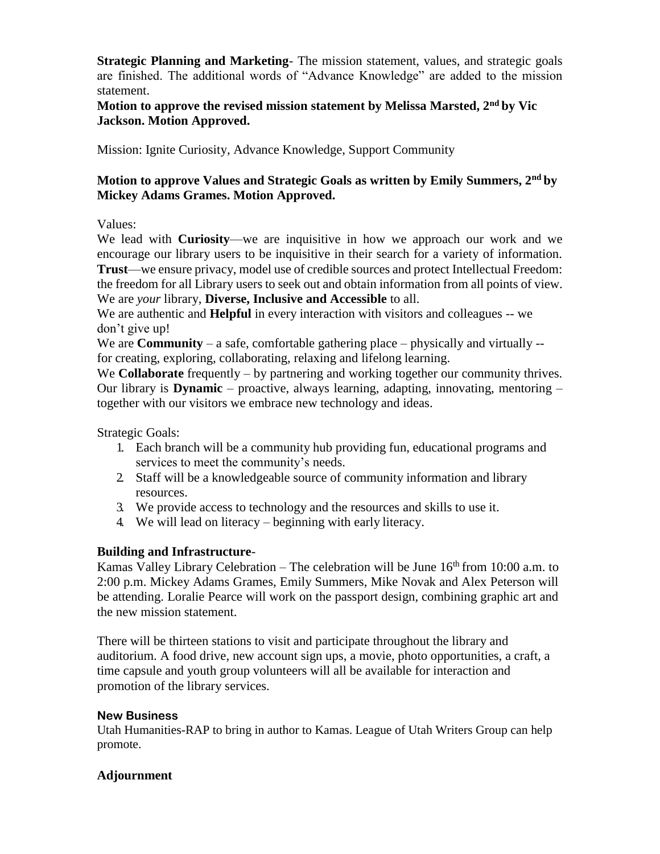**Strategic Planning and Marketing**- The mission statement, values, and strategic goals are finished. The additional words of "Advance Knowledge" are added to the mission statement.

**Motion to approve the revised mission statement by Melissa Marsted, 2nd by Vic Jackson. Motion Approved.**

Mission: Ignite Curiosity, Advance Knowledge, Support Community

## **Motion to approve Values and Strategic Goals as written by Emily Summers, 2nd by Mickey Adams Grames. Motion Approved.**

### Values:

We lead with **Curiosity**—we are inquisitive in how we approach our work and we encourage our library users to be inquisitive in their search for a variety of information. **Trust**—we ensure privacy, model use of credible sources and protect Intellectual Freedom: the freedom for all Library users to seek out and obtain information from all points of view. We are *your* library, **Diverse, Inclusive and Accessible** to all.

We are authentic and **Helpful** in every interaction with visitors and colleagues -- we don't give up!

We are **Community** – a safe, comfortable gathering place – physically and virtually -for creating, exploring, collaborating, relaxing and lifelong learning.

We **Collaborate** frequently – by partnering and working together our community thrives. Our library is **Dynamic** – proactive, always learning, adapting, innovating, mentoring – together with our visitors we embrace new technology and ideas.

Strategic Goals:

- 1. Each branch will be a community hub providing fun, educational programs and services to meet the community's needs.
- 2. Staff will be a knowledgeable source of community information and library resources.
- 3. We provide access to technology and the resources and skills to use it.
- 4. We will lead on literacy beginning with early literacy.

## **Building and Infrastructure**-

Kamas Valley Library Celebration – The celebration will be June  $16<sup>th</sup>$  from 10:00 a.m. to 2:00 p.m. Mickey Adams Grames, Emily Summers, Mike Novak and Alex Peterson will be attending. Loralie Pearce will work on the passport design, combining graphic art and the new mission statement.

There will be thirteen stations to visit and participate throughout the library and auditorium. A food drive, new account sign ups, a movie, photo opportunities, a craft, a time capsule and youth group volunteers will all be available for interaction and promotion of the library services.

#### **New Business**

Utah Humanities-RAP to bring in author to Kamas. League of Utah Writers Group can help promote.

#### **Adjournment**